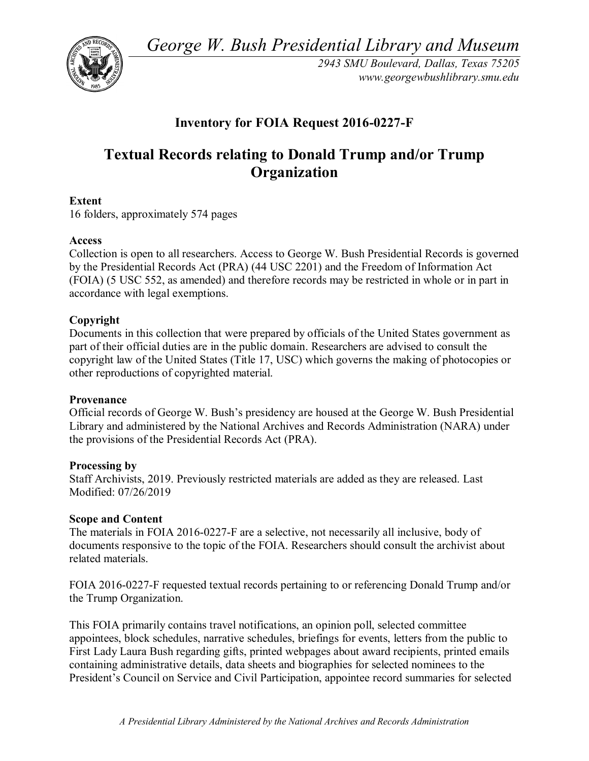*George W. Bush Presidential Library and Museum* 



*2943 SMU Boulevard, Dallas, Texas 75205 <www.georgewbushlibrary.smu.edu>*

# **Inventory for FOIA Request 2016-0227-F**

# **Textual Records relating to Donald Trump and/or Trump Organization**

### **Extent**

16 folders, approximately 574 pages

### **Access**

 Collection is open to all researchers. Access to George W. Bush Presidential Records is governed by the Presidential Records Act (PRA) (44 USC 2201) and the Freedom of Information Act (FOIA) (5 USC 552, as amended) and therefore records may be restricted in whole or in part in accordance with legal exemptions.

### **Copyright**

Documents in this collection that were prepared by officials of the United States government as part of their official duties are in the public domain. Researchers are advised to consult the copyright law of the United States (Title 17, USC) which governs the making of photocopies or other reproductions of copyrighted material.

#### **Provenance**

Official records of George W. Bush's presidency are housed at the George W. Bush Presidential Library and administered by the National Archives and Records Administration (NARA) under the provisions of the Presidential Records Act (PRA).

#### **Processing by**

Staff Archivists, 2019. Previously restricted materials are added as they are released. Last Modified: 07/26/2019

#### **Scope and Content**

The materials in FOIA 2016-0227-F are a selective, not necessarily all inclusive, body of documents responsive to the topic of the FOIA. Researchers should consult the archivist about related materials.

 FOIA 2016-0227-F requested textual records pertaining to or referencing Donald Trump and/or the Trump Organization.

 appointees, block schedules, narrative schedules, briefings for events, letters from the public to containing administrative details, data sheets and biographies for selected nominees to the This FOIA primarily contains travel notifications, an opinion poll, selected committee First Lady Laura Bush regarding gifts, printed webpages about award recipients, printed emails President's Council on Service and Civil Participation, appointee record summaries for selected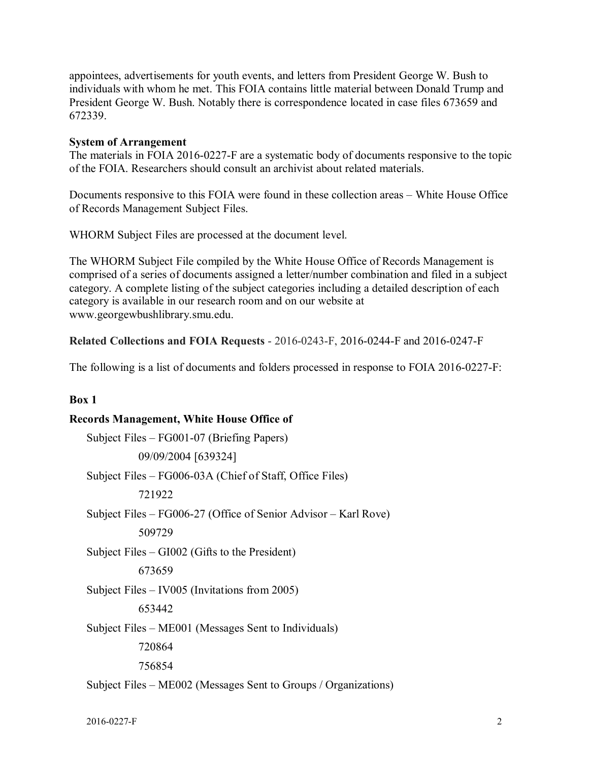appointees, advertisements for youth events, and letters from President George W. Bush to individuals with whom he met. This FOIA contains little material between Donald Trump and President George W. Bush. Notably there is correspondence located in case files 673659 and 672339.

#### **System of Arrangement**

 of the FOIA. Researchers should consult an archivist about related materials. The materials in FOIA 2016-0227-F are a systematic body of documents responsive to the topic

 Documents responsive to this FOIA were found in these collection areas – White House Office of Records Management Subject Files.

WHORM Subject Files are processed at the document level.

 comprised of a series of documents assigned a letter/number combination and filed in a subject The WHORM Subject File compiled by the White House Office of Records Management is category. A complete listing of the subject categories including a detailed description of each category is available in our research room and on our website at [www.georgewbushlibrary.smu.edu.](www.georgewbushlibrary.smu.edu)

**Related Collections and FOIA Requests** - 2016-0243-F, 2016-0244-F and 2016-0247-F

The following is a list of documents and folders processed in response to FOIA 2016-0227-F:

#### **Box 1**

#### **Records Management, White House Office of**

 Subject Files – FG006-03A (Chief of Staff, Office Files) Subject Files – FG006-27 (Office of Senior Advisor – Karl Rove) Subject Files – IV005 (Invitations from 2005) Subject Files – FG001-07 (Briefing Papers) 09/09/2004 [639324] 721922 509729 Subject Files – GI002 (Gifts to the President) 673659 653442 Subject Files – ME001 (Messages Sent to Individuals) 720864 756854 Subject Files – ME002 (Messages Sent to Groups / Organizations)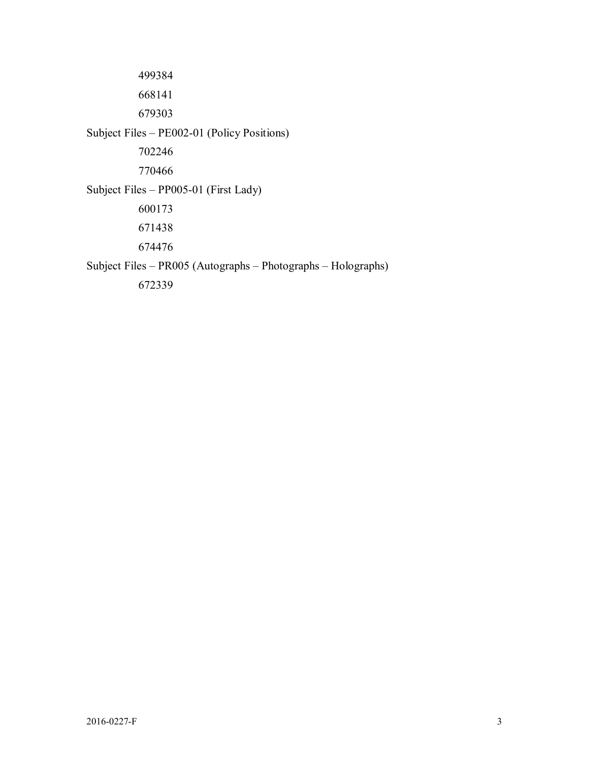Subject Files – PR005 (Autographs – Photographs – Holographs) Subject Files – PE002-01 (Policy Positions) Subject Files – PP005-01 (First Lady)